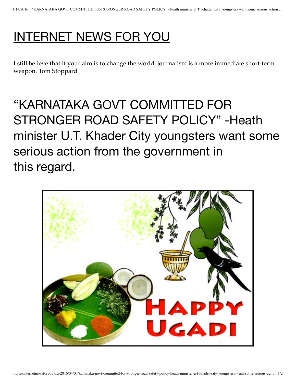## INTERNET NEWS FOR YOU

I still believe that if your aim is to change the world, journalism is a more immediate short-term weapon. Tom Stoppard

## "KARNATAKA GOVT COMMITTED FOR STRONGER ROAD SAFETY POLICY" -Heath minister U.T. Khader City youngsters want some serious action from the government in this regard.